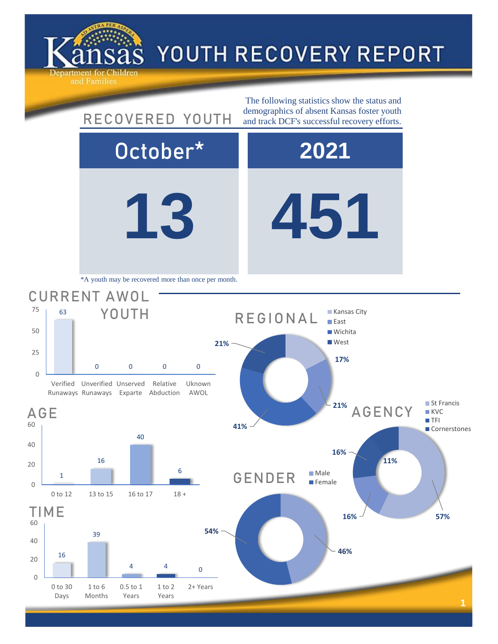

## YOUTH RECOVERY REPORT

**13 451** October\* **2021** AGENCY 40 63 0 0 0 0 Verified Unverified Unserved Runaways Runaways Exparte Abduction Relative Uknown AWOL CURRENT AWOL YOUTH The following statistics show the status and RECOVERED YOUTH demographics of absent Kansas foster youth and track DCF's successful recovery efforts. \*A youth may be recovered more than once per month. **17% 21% 41% 21%** REGIONAL **Kansas City East Wichita West** 



60

AGE

0

25

50

75